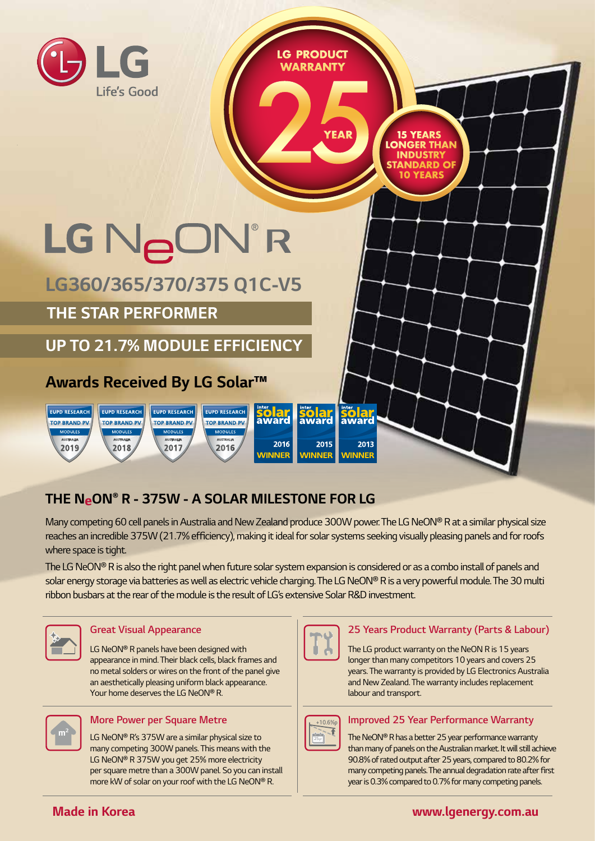

# **THE NeON® R - 375W - A SOLAR MILESTONE FOR LG**

Many competing 60 cell panels in Australia and New Zealand produce 300W power. The LG NeON® R at a similar physical size reaches an incredible 375W (21.7% efficiency), making it ideal for solar systems seeking visually pleasing panels and for roofs where space is tight.

The LG NeON® R is also the right panel when future solar system expansion is considered or as a combo install of panels and solar energy storage via batteries as well as electric vehicle charging. The LG NeON® R is a very powerful module. The 30 multi ribbon busbars at the rear of the module is the result of LG's extensive Solar R&D investment.



#### **Great Visual Appearance**

LG NeON® R panels have been designed with appearance in mind. Their black cells, black frames and no metal solders or wires on the front of the panel give an aesthetically pleasing uniform black appearance. Your home deserves the LG NeON® R.



#### **More Power per Square Metre**

LG NeON® R's 375W are a similar physical size to many competing 300W panels. This means with the LG NeON® R 375W you get 25% more electricity per square metre than a 300W panel. So you can install more kW of solar on your roof with the LG NeON® R.



#### **25 Years Product Warranty (Parts & Labour)**

The LG product warranty on the NeON R is 15 years longer than many competitors 10 years and covers 25 years. The warranty is provided by LG Electronics Australia and New Zealand. The warranty includes replacement labour and transport.



#### **Improved 25 Year Performance Warranty**

The NeON® R has a better 25 year performance warranty than many of panels on the Australian market. It will still achieve 90.8% of rated output after 25 years, compared to 80.2% for many competing panels. The annual degradation rate after frst year is 0.3% compared to 0.7% for many competing panels.

#### **Made in Korea**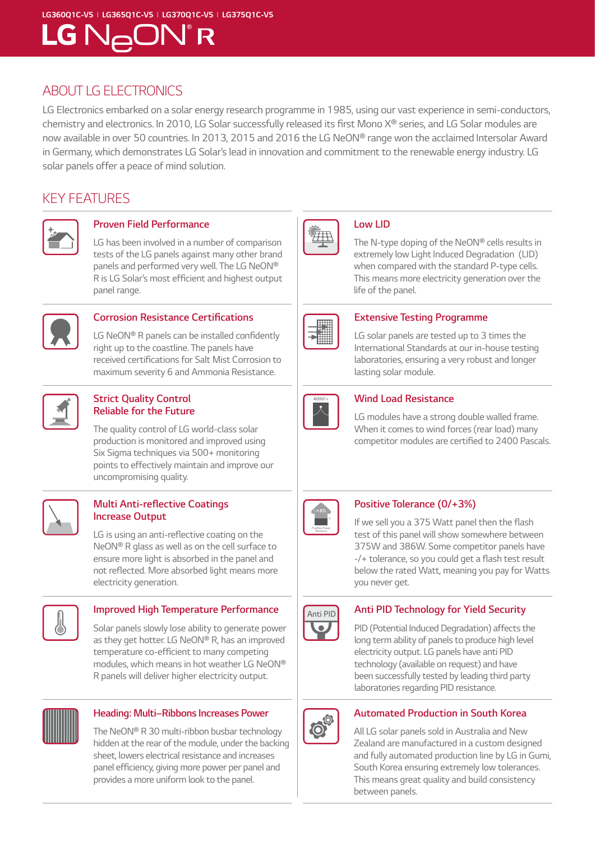#### **LG360Q1C-V5** I **LG365Q1C-V5** I **LG370Q1C-V5** I **LG375Q1C-V5**

# LG N<sub>A</sub>ON®R

### ABOUT LG ELECTRONICS

LG Electronics embarked on a solar energy research programme in 1985, using our vast experience in semi-conductors, chemistry and electronics. In 2010, LG Solar successfully released its frst Mono X® series, and LG Solar modules are now available in over 50 countries. In 2013, 2015 and 2016 the LG NeON® range won the acclaimed Intersolar Award in Germany, which demonstrates LG Solar's lead in innovation and commitment to the renewable energy industry. LG solar panels offer a peace of mind solution.

### KEY FEATURES



#### **Proven Field Performance**

LG has been involved in a number of comparison tests of the LG panels against many other brand panels and performed very well. The LG NeON® R is LG Solar's most effcient and highest output panel range.



#### **Corrosion Resistance Certifcations**

LG NeON® R panels can be installed confidently right up to the coastline. The panels have received certifcations for Salt Mist Corrosion to maximum severity 6 and Ammonia Resistance.



#### **Strict Quality Control Reliable for the Future**

The quality control of LG world-class solar production is monitored and improved using Six Sigma techniques via 500+ monitoring points to effectively maintain and improve our uncompromising quality.



#### **Multi Anti-refective Coatings Increase Output**

LG is using an anti-reflective coating on the NeON® R glass as well as on the cell surface to ensure more light is absorbed in the panel and not refected. More absorbed light means more electricity generation.



#### **Improved High Temperature Performance**

Solar panels slowly lose ability to generate power as they get hotter. LG NeON® R, has an improved temperature co-efficient to many competing modules, which means in hot weather LG NeON® R panels will deliver higher electricity output.



#### **Heading: Multi–Ribbons Increases Power**

The NeON® R 30 multi-ribbon busbar technology hidden at the rear of the module, under the backing sheet, lowers electrical resistance and increases panel effciency, giving more power per panel and provides a more uniform look to the panel.



#### **Low LID**

The N-type doping of the NeON® cells results in extremely low Light Induced Degradation (LID) when compared with the standard P-type cells. This means more electricity generation over the life of the panel.



#### **Extensive Testing Programme**

LG solar panels are tested up to 3 times the International Standards at our in-house testing laboratories, ensuring a very robust and longer lasting solar module.



#### **Wind Load Resistance**

LG modules have a strong double walled frame. When it comes to wind forces (rear load) many competitor modules are certifed to 2400 Pascals.



#### **Positive Tolerance (0/+3%)**

If we sell you a 375 Watt panel then the fash test of this panel will show somewhere between 375W and 386W. Some competitor panels have -/+ tolerance, so you could get a flash test result below the rated Watt, meaning you pay for Watts you never get.



#### **Anti PID Technology for Yield Security**

PID (Potential Induced Degradation) affects the long term ability of panels to produce high level electricity output. LG panels have anti PID technology (available on request) and have been successfully tested by leading third party laboratories regarding PID resistance.



#### **Automated Production in South Korea**

All LG solar panels sold in Australia and New Zealand are manufactured in a custom designed and fully automated production line by LG in Gumi, South Korea ensuring extremely low tolerances. This means great quality and build consistency between panels.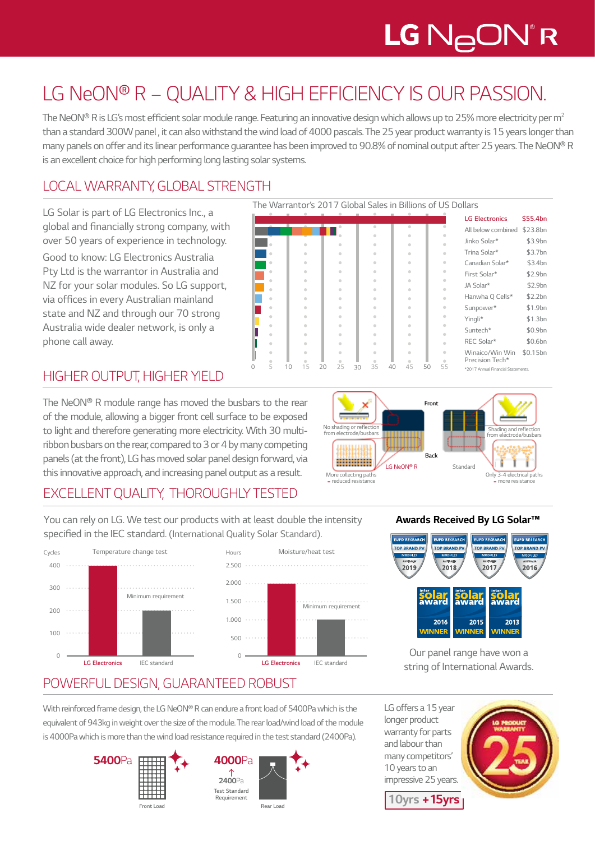# LG N<sub>A</sub>ON®R

# LG NeON® R – QUALITY & HIGH EFFICIENCY IS OUR PASSION.

The NeON® R is LG's most efficient solar module range. Featuring an innovative design which allows up to 25% more electricity per m<sup>2</sup> than a standard 300W panel , it can also withstand the wind load of 4000 pascals. The 25 year product warranty is 15 years longer than many panels on offer and its linear performance guarantee has been improved to 90.8% of nominal output after 25 years. The NeON® R is an excellent choice for high performing long lasting solar systems.

# LOCAL WARRANTY, GLOBAL STRENGTH

LG Solar is part of LG Electronics Inc., a global and fnancially strong company, with over 50 years of experience in technology.

Good to know: LG Electronics Australia Pty Ltd is the warrantor in Australia and NZ for your solar modules. So LG support, via offces in every Australian mainland state and NZ and through our 70 strong Australia wide dealer network, is only a phone call away.

# HIGHER OUTPUT, HIGHER YIELD

The NeON® R module range has moved the busbars to the rear of the module, allowing a bigger front cell surface to be exposed to light and therefore generating more electricity. With 30 multiribbon busbars on the rear, compared to 3 or 4 by many competing panels (at the front), LG has moved solar panel design forward, via this innovative approach, and increasing panel output as a result.

The Warrantor's 2017 Global Sales in Billions of US Dollars





## EXCELLENT QUALITY, THOROUGHLY TESTED

You can rely on LG. We test our products with at least double the intensity specifed in the IEC standard. (International Quality Solar Standard).

П





#### **Awards Received By LG Solar™**



Our panel range have won a string of International Awards.

# POWERFUL DESIGN, GUARANTEED ROBUST

With reinforced frame design, the LG NeON® R can endure a front load of 5400Pa which is the equivalent of 943kg in weight over the size of the module. The rear load/wind load of the module is 4000Pa which is more than the wind load resistance required in the test standard (2400Pa).





LG offers a 15 year longer product warranty for parts and labour than many competitors' 10 years to an impressive 25 years.